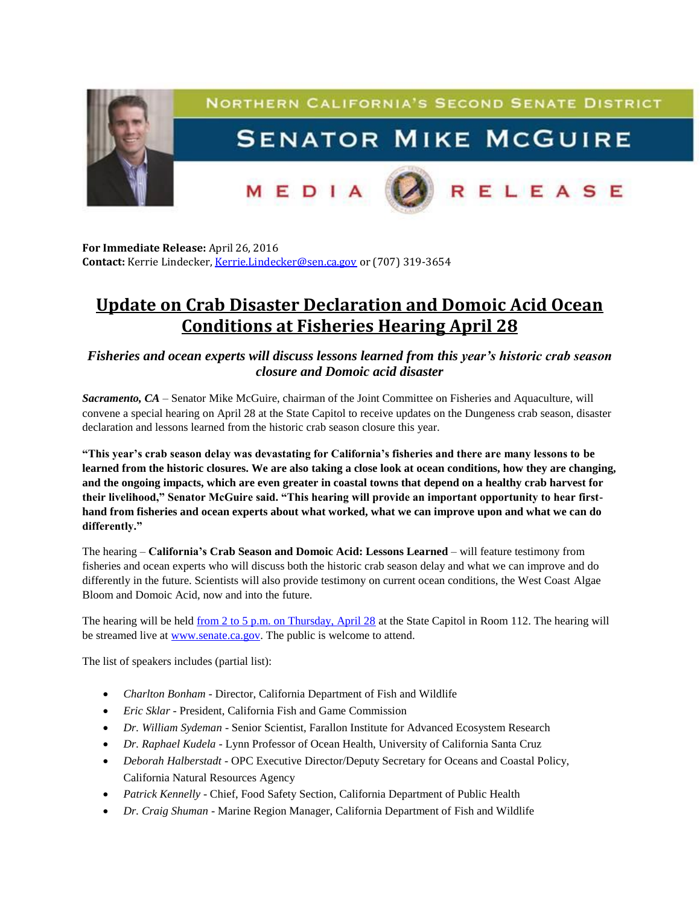

**For Immediate Release:** April 26, 2016 **Contact:** Kerrie Lindecker, [Kerrie.Lindecker@sen.ca.gov](mailto:Kerrie.Lindecker@sen.ca.gov) or (707) 319-3654

## **Update on Crab Disaster Declaration and Domoic Acid Ocean Conditions at Fisheries Hearing [April 28](x-apple-data-detectors://2/)**

*Fisheries and ocean experts will discuss lessons learned from this year's historic crab season closure and Domoic acid disaster*

*Sacramento, CA* – Senator Mike McGuire, chairman of the Joint Committee on Fisheries and Aquaculture, will convene a special hearing [on April 28](x-apple-data-detectors://4/) at the State Capitol to receive updates on the Dungeness crab season, disaster declaration and lessons learned from the historic crab season closure this year.

**"This year's crab season delay was devastating for California's fisheries and there are many lessons to be learned from the historic closures. We are also taking a close look at ocean conditions, how they are changing, and the ongoing impacts, which are even greater in coastal towns that depend on a healthy crab harvest for their livelihood," Senator McGuire said. "This hearing will provide an important opportunity to hear firsthand from fisheries and ocean experts about what worked, what we can improve upon and what we can do differently."**

The hearing – **California's Crab Season and Domoic Acid: Lessons Learned** – will feature testimony from fisheries and ocean experts who will discuss both the historic crab season delay and what we can improve and do differently in the future. Scientists will also provide testimony on current ocean conditions, the West Coast Algae Bloom and Domoic Acid, now and into the future.

The hearing will be held [from 2 to 5 p.m. on Thursday, April 28](x-apple-data-detectors://5/) at the State Capitol in Room 112. The hearing will be streamed live at [www.senate.ca.gov.](http://www.senate.ca.gov/) The public is welcome to attend.

The list of speakers includes (partial list):

- *Charlton Bonham* Director, California Department of Fish and Wildlife
- *Eric Sklar* President, California Fish and Game Commission
- *Dr. William Sydeman* Senior Scientist, Farallon Institute for Advanced Ecosystem Research
- *Dr. Raphael Kudela* Lynn Professor of Ocean Health, University of California Santa Cruz
- *Deborah Halberstadt* OPC Executive Director/Deputy Secretary for Oceans and Coastal Policy, California Natural Resources Agency
- *Patrick Kennelly* Chief, Food Safety Section, California Department of Public Health
- *Dr. Craig Shuman* Marine Region Manager, California Department of Fish and Wildlife